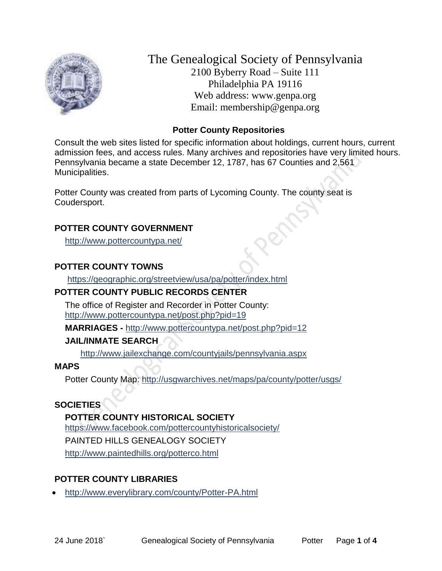

The Genealogical Society of Pennsylvania 2100 Byberry Road – Suite 111 Philadelphia PA 19116 Web address: www.genpa.org Email: membership@genpa.org

### **Potter County Repositories**

Consult the web sites listed for specific information about holdings, current hours, current admission fees, and access rules. Many archives and repositories have very limited hours. Pennsylvania became a state December 12, 1787, has 67 Counties and 2,561 Municipalities.

Potter County was created from parts of Lycoming County. The county seat is Coudersport.

### **POTTER COUNTY GOVERNMENT**

<http://www.pottercountypa.net/>

## **POTTER COUNTY TOWNS**

<https://geographic.org/streetview/usa/pa/potter/index.html>

## **POTTER COUNTY PUBLIC RECORDS CENTER**

The office of Register and Recorder in Potter County: <http://www.pottercountypa.net/post.php?pid=19>

**MARRIAGES -** <http://www.pottercountypa.net/post.php?pid=12>

## **JAIL/INMATE SEARCH**

<http://www.jailexchange.com/countyjails/pennsylvania.aspx>

## **MAPS**

Potter County Map: <http://usgwarchives.net/maps/pa/county/potter/usgs/>

# **SOCIETIES**

**POTTER COUNTY HISTORICAL SOCIETY** <https://www.facebook.com/pottercountyhistoricalsociety/> PAINTED HILLS GENEALOGY SOCIETY <http://www.paintedhills.org/potterco.html>

# **POTTER COUNTY LIBRARIES**

<http://www.everylibrary.com/county/Potter-PA.html>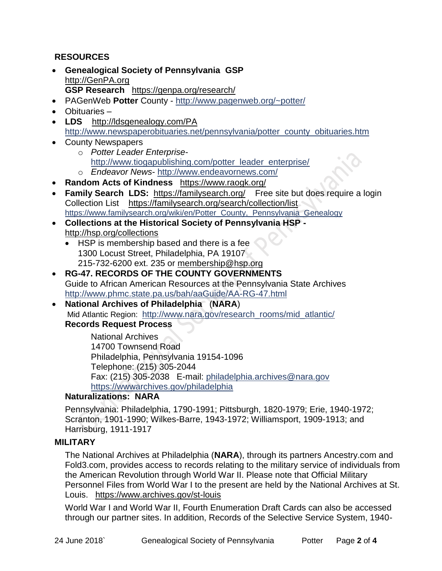### **RESOURCES**

- **Genealogical Society of Pennsylvania GSP** [http://GenPA.org](http://genpa.org/) **GSP Research** <https://genpa.org/research/>
- PAGenWeb **Potter** County <http://www.pagenweb.org/~potter/>
- Obituaries –
- **LDS** <http://ldsgenealogy.com/PA> [http://www.newspaperobituaries.net/pennsylvania/potter\\_county\\_obituaries.htm](http://www.newspaperobituaries.net/pennsylvania/potter_county_obituaries.htm)
- County Newspapers
	- o *Potter Leader Enterprise*[http://www.tiogapublishing.com/potter\\_leader\\_enterprise/](http://www.tiogapublishing.com/potter_leader_enterprise/)
	- o *Endeavor News* <http://www.endeavornews.com/>
- **Random Acts of Kindness** <https://www.raogk.org/>
- Family Search LDS: <https://familysearch.org/>Free site but does require a login Collection List <https://familysearch.org/search/collection/list> [https://www.familysearch.org/wiki/en/Potter\\_County,\\_Pennsylvania\\_Genealogy](https://www.familysearch.org/wiki/en/Potter_County,_Pennsylvania_Genealogy)
- **Collections at the Historical Society of Pennsylvania HSP**  <http://hsp.org/collections>
	- HSP is membership based and there is a fee 1300 Locust Street, Philadelphia, PA 19107 215-732-6200 ext. 235 or [membership@hsp.org](mailto:membership@hsp.org)
- **RG-47. RECORDS OF THE COUNTY GOVERNMENTS** Guide to African American Resources at the Pennsylvania State Archives <http://www.phmc.state.pa.us/bah/aaGuide/AA-RG-47.html>
- **National Archives of Philadelphia** (**NARA**) Mid Atlantic Region: [http://www.nara.gov/research\\_rooms/mid\\_atlantic/](http://www.nara.gov/research_rooms/mid_atlantic/) **Records Request Process**

National Archives 14700 Townsend Road Philadelphia, Pennsylvania 19154-1096 Telephone: (215) 305-2044 Fax: (215) 305-2038 E-mail: [philadelphia.archives@nara.gov](mailto:philadelphia.archives@nara.gov) <https://wwwarchives.gov/philadelphia>

### **Naturalizations: NARA**

Pennsylvania: Philadelphia, 1790-1991; Pittsburgh, 1820-1979; Erie, 1940-1972; Scranton, 1901-1990; Wilkes-Barre, 1943-1972; Williamsport, 1909-1913; and Harrisburg, 1911-1917

#### **MILITARY**

The National Archives at Philadelphia (**NARA**), through its partners Ancestry.com and Fold3.com, provides access to records relating to the military service of individuals from the American Revolution through World War II. Please note that Official Military Personnel Files from World War I to the present are held by the National Archives at St. Louis. <https://www.archives.gov/st-louis>

World War I and World War II, Fourth Enumeration Draft Cards can also be accessed through our partner sites. In addition, Records of the Selective Service System, 1940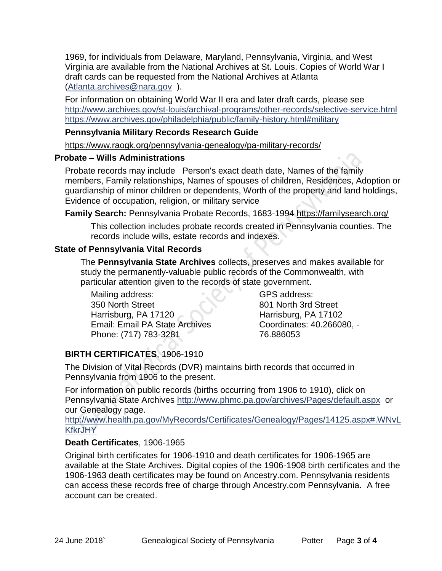1969, for individuals from Delaware, Maryland, Pennsylvania, Virginia, and West Virginia are available from the National Archives at St. Louis. Copies of World War I draft cards can be requested from the National Archives at Atlanta [\(Atlanta.archives@nara.gov](mailto:Atlanta.archives@nara.gov) ).

For information on obtaining World War II era and later draft cards, please see <http://www.archives.gov/st-louis/archival-programs/other-records/selective-service.html> <https://www.archives.gov/philadelphia/public/family-history.html#military>

#### **Pennsylvania Military Records Research Guide**

<https://www.raogk.org/pennsylvania-genealogy/pa-military-records/>

#### **Probate – Wills Administrations**

Probate records may include Person's exact death date, Names of the family members, Family relationships, Names of spouses of children, Residences, Adoption or guardianship of minor children or dependents, Worth of the property and land holdings, Evidence of occupation, religion, or military service

**Family Search:** Pennsylvania Probate Records, 1683-1994 <https://familysearch.org/>

This collection includes probate records created in Pennsylvania counties. The records include wills, estate records and indexes.

### **State of Pennsylvania Vital Records**

The **Pennsylvania State Archives** collects, preserves and makes available for study the permanently-valuable public records of the Commonwealth, with particular attention given to the records of state government.

Mailing address: 350 North Street Harrisburg, PA 17120 Email: Email PA State Archives Phone: (717) 783-3281

GPS address: 801 North 3rd Street Harrisburg, PA 17102 Coordinates: 40.266080, - 76.886053

# **BIRTH CERTIFICATES**, 1906-1910

The Division of Vital Records (DVR) maintains birth records that occurred in Pennsylvania from 1906 to the present.

For information on public records (births occurring from 1906 to 1910), click on Pennsylvania State Archives <http://www.phmc.pa.gov/archives/Pages/default.aspx>or our Genealogy page.

[http://www.health.pa.gov/MyRecords/Certificates/Genealogy/Pages/14125.aspx#.WNvL](http://www.health.pa.gov/MyRecords/Certificates/Genealogy/Pages/14125.aspx#.WNvLKfkrJHY) **[KfkrJHY](http://www.health.pa.gov/MyRecords/Certificates/Genealogy/Pages/14125.aspx#.WNvLKfkrJHY)** 

### **Death Certificates**, 1906-1965

Original birth certificates for 1906-1910 and death certificates for 1906-1965 are available at the State Archives. Digital copies of the 1906-1908 birth certificates and the 1906-1963 death certificates may be found on Ancestry.com. Pennsylvania residents can access these records free of charge through Ancestry.com Pennsylvania. A free account can be created.